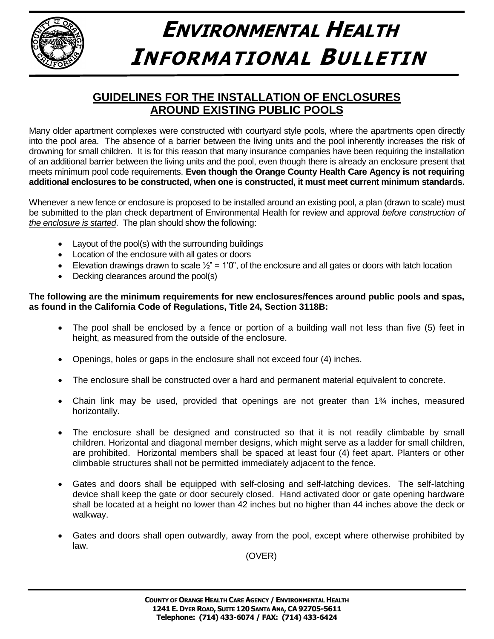

## **ENVIRONMENTAL HEALTH INFORMATIONAL BULLETIN**

## **GUIDELINES FOR THE INSTALLATION OF ENCLOSURES AROUND EXISTING PUBLIC POOLS**

Many older apartment complexes were constructed with courtyard style pools, where the apartments open directly into the pool area. The absence of a barrier between the living units and the pool inherently increases the risk of drowning for small children. It is for this reason that many insurance companies have been requiring the installation of an additional barrier between the living units and the pool, even though there is already an enclosure present that meets minimum pool code requirements. **Even though the Orange County Health Care Agency is not requiring additional enclosures to be constructed, when one is constructed, it must meet current minimum standards.**

Whenever a new fence or enclosure is proposed to be installed around an existing pool, a plan (drawn to scale) must be submitted to the plan check department of Environmental Health for review and approval *before construction of the enclosure is started*. The plan should show the following:

- Layout of the pool(s) with the surrounding buildings
- Location of the enclosure with all gates or doors
- Elevation drawings drawn to scale  $\frac{1}{2}$ " = 1'0", of the enclosure and all gates or doors with latch location
- Decking clearances around the pool(s)

## **The following are the minimum requirements for new enclosures/fences around public pools and spas, as found in the California Code of Regulations, Title 24, Section 3118B:**

- The pool shall be enclosed by a fence or portion of a building wall not less than five (5) feet in height, as measured from the outside of the enclosure.
- Openings, holes or gaps in the enclosure shall not exceed four (4) inches.
- The enclosure shall be constructed over a hard and permanent material equivalent to concrete.
- Chain link may be used, provided that openings are not greater than  $1\frac{3}{4}$  inches, measured horizontally.
- The enclosure shall be designed and constructed so that it is not readily climbable by small children. Horizontal and diagonal member designs, which might serve as a ladder for small children, are prohibited. Horizontal members shall be spaced at least four (4) feet apart. Planters or other climbable structures shall not be permitted immediately adjacent to the fence.
- Gates and doors shall be equipped with self-closing and self-latching devices. The self-latching device shall keep the gate or door securely closed. Hand activated door or gate opening hardware shall be located at a height no lower than 42 inches but no higher than 44 inches above the deck or walkway.
- Gates and doors shall open outwardly, away from the pool, except where otherwise prohibited by law.

(OVER)